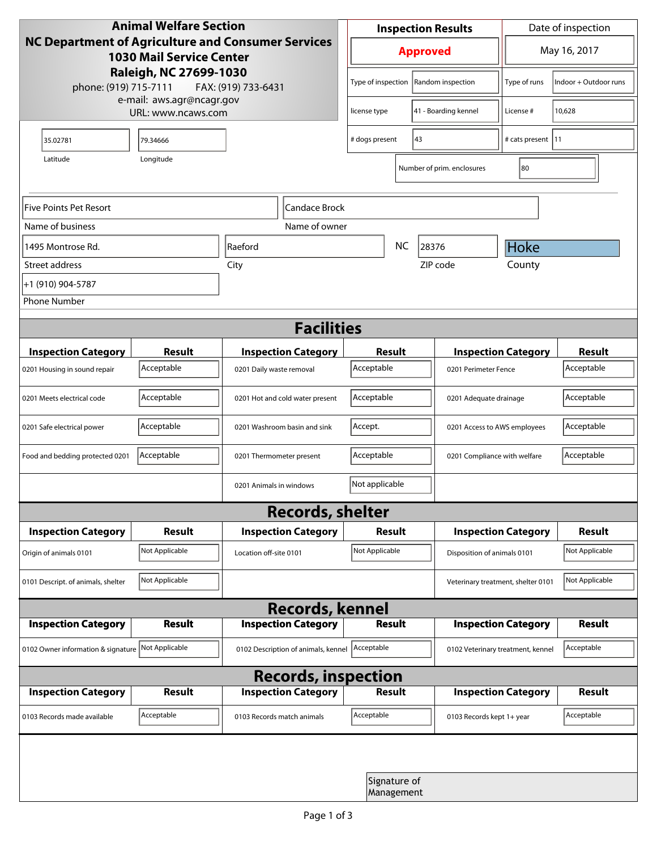| <b>Animal Welfare Section</b><br><b>NC Department of Agriculture and Consumer Services</b><br><b>1030 Mail Service Center</b> |                |                                     |                            | <b>Inspection Results</b> |                            |                            |                                    | Date of inspection    |  |
|-------------------------------------------------------------------------------------------------------------------------------|----------------|-------------------------------------|----------------------------|---------------------------|----------------------------|----------------------------|------------------------------------|-----------------------|--|
|                                                                                                                               |                |                                     |                            | <b>Approved</b>           |                            |                            |                                    | May 16, 2017          |  |
| Raleigh, NC 27699-1030<br>phone: (919) 715-7111<br>FAX: (919) 733-6431<br>e-mail: aws.agr@ncagr.gov<br>URL: www.ncaws.com     |                |                                     |                            | Type of inspection        |                            | Random inspection          | Type of runs                       | Indoor + Outdoor runs |  |
|                                                                                                                               |                |                                     |                            | license type              |                            | 41 - Boarding kennel       | License #                          | 10,628                |  |
| 35.02781                                                                                                                      | 79.34666       |                                     | 43<br># dogs present       |                           |                            | # cats present   11        |                                    |                       |  |
| Latitude                                                                                                                      | Longitude      |                                     |                            |                           |                            | Number of prim. enclosures | 80                                 |                       |  |
| Five Points Pet Resort<br>Candace Brock                                                                                       |                |                                     |                            |                           |                            |                            |                                    |                       |  |
| Name of business<br>Name of owner                                                                                             |                |                                     |                            |                           |                            |                            |                                    |                       |  |
| 1495 Montrose Rd.                                                                                                             | Raeford        |                                     |                            |                           | <b>NC</b>                  | 28376                      | Hoke                               |                       |  |
| Street address                                                                                                                | City           |                                     |                            |                           |                            | ZIP code                   | County                             |                       |  |
| +1 (910) 904-5787                                                                                                             |                |                                     |                            |                           |                            |                            |                                    |                       |  |
| <b>Phone Number</b>                                                                                                           |                |                                     |                            |                           |                            |                            |                                    |                       |  |
| <b>Facilities</b>                                                                                                             |                |                                     |                            |                           |                            |                            |                                    |                       |  |
| <b>Inspection Category</b>                                                                                                    | <b>Result</b>  |                                     | <b>Inspection Category</b> |                           | <b>Result</b>              |                            | <b>Inspection Category</b>         | <b>Result</b>         |  |
| 0201 Housing in sound repair                                                                                                  | Acceptable     | 0201 Daily waste removal            |                            | Acceptable                |                            | 0201 Perimeter Fence       |                                    | Acceptable            |  |
| 0201 Meets electrical code                                                                                                    | Acceptable     | 0201 Hot and cold water present     | Acceptable                 |                           |                            | 0201 Adequate drainage     | Acceptable                         |                       |  |
| 0201 Safe electrical power                                                                                                    | Acceptable     | 0201 Washroom basin and sink        |                            | Accept.                   |                            |                            | 0201 Access to AWS employees       | Acceptable            |  |
| Food and bedding protected 0201                                                                                               | Acceptable     | 0201 Thermometer present            |                            | Acceptable                |                            |                            | 0201 Compliance with welfare       | Acceptable            |  |
|                                                                                                                               |                | 0201 Animals in windows             |                            | Not applicable            |                            |                            |                                    |                       |  |
| <b>Records, shelter</b>                                                                                                       |                |                                     |                            |                           |                            |                            |                                    |                       |  |
| <b>Inspection Category</b>                                                                                                    | <b>Result</b>  |                                     | <b>Inspection Category</b> | Result                    |                            |                            | <b>Inspection Category</b>         | <b>Result</b>         |  |
| Origin of animals 0101                                                                                                        | Not Applicable | Location off-site 0101              | Not Applicable             |                           |                            |                            | Disposition of animals 0101        | Not Applicable        |  |
| 0101 Descript. of animals, shelter                                                                                            | Not Applicable |                                     |                            |                           |                            |                            | Veterinary treatment, shelter 0101 | Not Applicable        |  |
| <b>Records, kennel</b>                                                                                                        |                |                                     |                            |                           |                            |                            |                                    |                       |  |
| <b>Inspection Category</b>                                                                                                    | Result         |                                     | <b>Inspection Category</b> |                           | <b>Result</b>              |                            | <b>Inspection Category</b>         | Result                |  |
| 0102 Owner information & signature Not Applicable                                                                             |                | 0102 Description of animals, kennel |                            | Acceptable                |                            |                            | 0102 Veterinary treatment, kennel  | Acceptable            |  |
| <b>Records, inspection</b>                                                                                                    |                |                                     |                            |                           |                            |                            |                                    |                       |  |
| <b>Inspection Category</b>                                                                                                    | <b>Result</b>  |                                     | <b>Inspection Category</b> |                           | Result                     |                            | <b>Inspection Category</b>         | <b>Result</b>         |  |
| 0103 Records made available                                                                                                   | Acceptable     | 0103 Records match animals          |                            | Acceptable                |                            |                            | 0103 Records kept 1+ year          | Acceptable            |  |
|                                                                                                                               |                |                                     |                            |                           |                            |                            |                                    |                       |  |
|                                                                                                                               |                |                                     |                            |                           | Signature of<br>Management |                            |                                    |                       |  |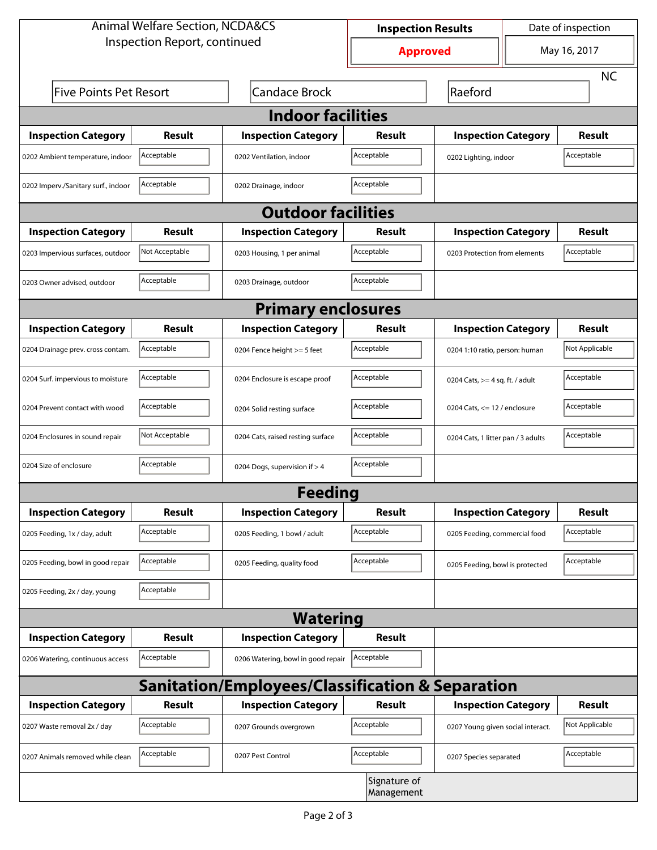| <b>Animal Welfare Section, NCDA&amp;CS</b>                  |                |                                    | <b>Inspection Results</b>  |                                     | Date of inspection |                |  |  |  |
|-------------------------------------------------------------|----------------|------------------------------------|----------------------------|-------------------------------------|--------------------|----------------|--|--|--|
| Inspection Report, continued                                |                |                                    | <b>Approved</b>            |                                     | May 16, 2017       |                |  |  |  |
|                                                             |                |                                    |                            |                                     |                    | <b>NC</b>      |  |  |  |
| <b>Five Points Pet Resort</b>                               |                | <b>Candace Brock</b>               |                            | Raeford                             |                    |                |  |  |  |
| <b>Indoor facilities</b>                                    |                |                                    |                            |                                     |                    |                |  |  |  |
| <b>Inspection Category</b>                                  | Result         | <b>Inspection Category</b>         | Result                     | <b>Inspection Category</b>          |                    | Result         |  |  |  |
| 0202 Ambient temperature, indoor                            | Acceptable     | 0202 Ventilation, indoor           | Acceptable                 | Acceptable<br>0202 Lighting, indoor |                    |                |  |  |  |
| 0202 Imperv./Sanitary surf., indoor                         | Acceptable     | 0202 Drainage, indoor              | Acceptable                 |                                     |                    |                |  |  |  |
| <b>Outdoor facilities</b>                                   |                |                                    |                            |                                     |                    |                |  |  |  |
| <b>Inspection Category</b>                                  | <b>Result</b>  | <b>Inspection Category</b>         | Result                     | <b>Inspection Category</b>          |                    | Result         |  |  |  |
| 0203 Impervious surfaces, outdoor                           | Not Acceptable | 0203 Housing, 1 per animal         | Acceptable                 | 0203 Protection from elements       |                    | Acceptable     |  |  |  |
| 0203 Owner advised, outdoor                                 | Acceptable     | 0203 Drainage, outdoor             | Acceptable                 |                                     |                    |                |  |  |  |
| <b>Primary enclosures</b>                                   |                |                                    |                            |                                     |                    |                |  |  |  |
| <b>Inspection Category</b>                                  | Result         | <b>Inspection Category</b>         | Result                     | <b>Inspection Category</b>          |                    | <b>Result</b>  |  |  |  |
| 0204 Drainage prev. cross contam.                           | Acceptable     | 0204 Fence height >= 5 feet        | Acceptable                 | 0204 1:10 ratio, person: human      |                    | Not Applicable |  |  |  |
| 0204 Surf. impervious to moisture                           | Acceptable     | 0204 Enclosure is escape proof     | Acceptable                 | 0204 Cats, $>=$ 4 sq. ft. / adult   |                    | Acceptable     |  |  |  |
| 0204 Prevent contact with wood                              | Acceptable     | 0204 Solid resting surface         | Acceptable                 | 0204 Cats, $<= 12$ / enclosure      |                    | Acceptable     |  |  |  |
| 0204 Enclosures in sound repair                             | Not Acceptable | 0204 Cats, raised resting surface  | Acceptable                 | 0204 Cats, 1 litter pan / 3 adults  |                    | Acceptable     |  |  |  |
| 0204 Size of enclosure                                      | Acceptable     | 0204 Dogs, supervision if > 4      | Acceptable                 |                                     |                    |                |  |  |  |
|                                                             |                | <b>Feeding</b>                     |                            |                                     |                    |                |  |  |  |
| <b>Inspection Category</b>                                  | <b>Result</b>  | <b>Inspection Category</b>         | <b>Result</b>              | <b>Inspection Category</b>          |                    | <b>Result</b>  |  |  |  |
| 0205 Feeding, 1x / day, adult                               | Acceptable     | 0205 Feeding, 1 bowl / adult       | Acceptable                 | 0205 Feeding, commercial food       |                    | Acceptable     |  |  |  |
| 0205 Feeding, bowl in good repair                           | Acceptable     | 0205 Feeding, quality food         | Acceptable                 | 0205 Feeding, bowl is protected     |                    | Acceptable     |  |  |  |
| 0205 Feeding, 2x / day, young                               | Acceptable     |                                    |                            |                                     |                    |                |  |  |  |
|                                                             |                | <b>Watering</b>                    |                            |                                     |                    |                |  |  |  |
| <b>Inspection Category</b>                                  | <b>Result</b>  | <b>Inspection Category</b>         | Result                     |                                     |                    |                |  |  |  |
| 0206 Watering, continuous access                            | Acceptable     | 0206 Watering, bowl in good repair | Acceptable                 |                                     |                    |                |  |  |  |
| <b>Sanitation/Employees/Classification &amp; Separation</b> |                |                                    |                            |                                     |                    |                |  |  |  |
| <b>Inspection Category</b>                                  | <b>Result</b>  | <b>Inspection Category</b>         | Result                     | <b>Inspection Category</b>          |                    | Result         |  |  |  |
| 0207 Waste removal 2x / day                                 | Acceptable     | 0207 Grounds overgrown             | Acceptable                 | 0207 Young given social interact.   |                    | Not Applicable |  |  |  |
| 0207 Animals removed while clean                            | Acceptable     | 0207 Pest Control                  | Acceptable                 | 0207 Species separated              |                    | Acceptable     |  |  |  |
|                                                             |                |                                    | Signature of<br>Management |                                     |                    |                |  |  |  |